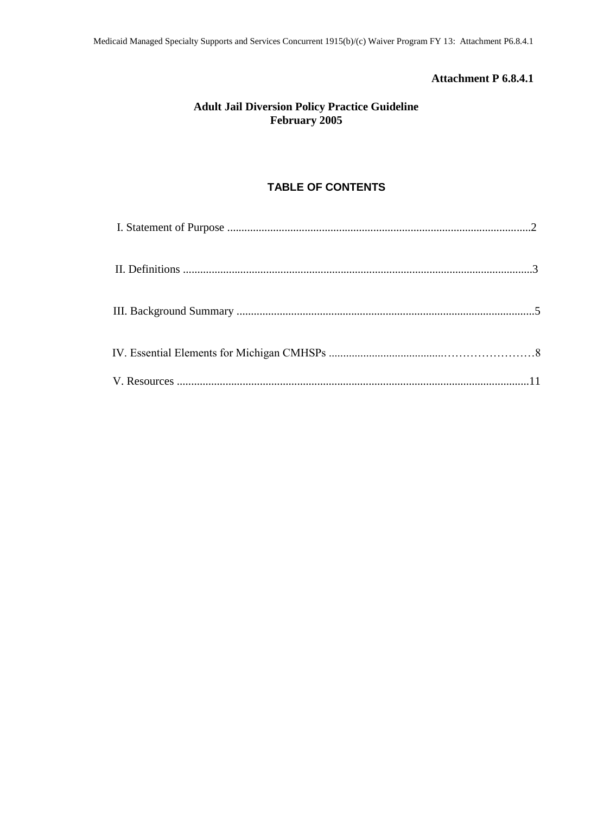## **Attachment P 6.8.4.1**

## **Adult Jail Diversion Policy Practice Guideline February 2005**

# **TABLE OF CONTENTS**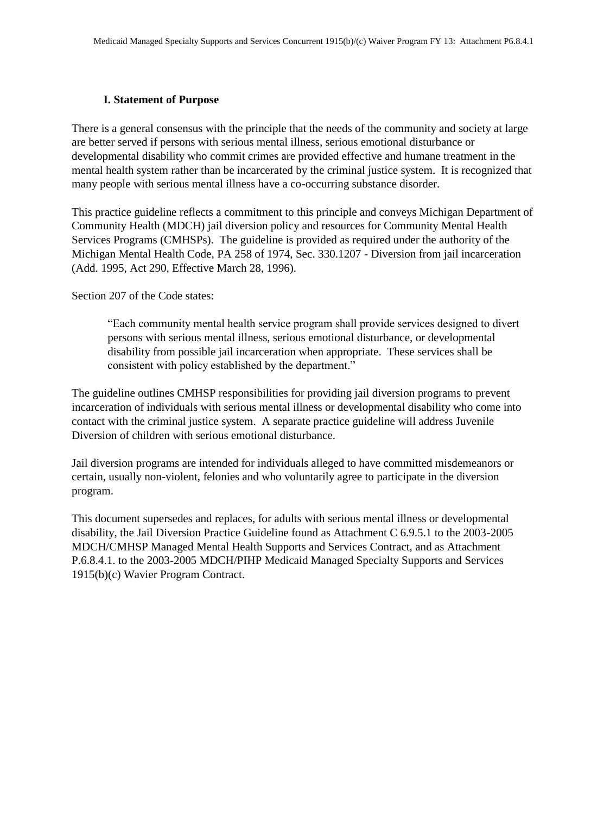### **I. Statement of Purpose**

There is a general consensus with the principle that the needs of the community and society at large are better served if persons with serious mental illness, serious emotional disturbance or developmental disability who commit crimes are provided effective and humane treatment in the mental health system rather than be incarcerated by the criminal justice system. It is recognized that many people with serious mental illness have a co-occurring substance disorder.

This practice guideline reflects a commitment to this principle and conveys Michigan Department of Community Health (MDCH) jail diversion policy and resources for Community Mental Health Services Programs (CMHSPs). The guideline is provided as required under the authority of the Michigan Mental Health Code, PA 258 of 1974, Sec. 330.1207 - Diversion from jail incarceration (Add. 1995, Act 290, Effective March 28, 1996).

Section 207 of the Code states:

"Each community mental health service program shall provide services designed to divert persons with serious mental illness, serious emotional disturbance, or developmental disability from possible jail incarceration when appropriate. These services shall be consistent with policy established by the department."

The guideline outlines CMHSP responsibilities for providing jail diversion programs to prevent incarceration of individuals with serious mental illness or developmental disability who come into contact with the criminal justice system. A separate practice guideline will address Juvenile Diversion of children with serious emotional disturbance.

Jail diversion programs are intended for individuals alleged to have committed misdemeanors or certain, usually non-violent, felonies and who voluntarily agree to participate in the diversion program.

This document supersedes and replaces, for adults with serious mental illness or developmental disability, the Jail Diversion Practice Guideline found as Attachment C 6.9.5.1 to the 2003-2005 MDCH/CMHSP Managed Mental Health Supports and Services Contract, and as Attachment P.6.8.4.1. to the 2003-2005 MDCH/PIHP Medicaid Managed Specialty Supports and Services 1915(b)(c) Wavier Program Contract.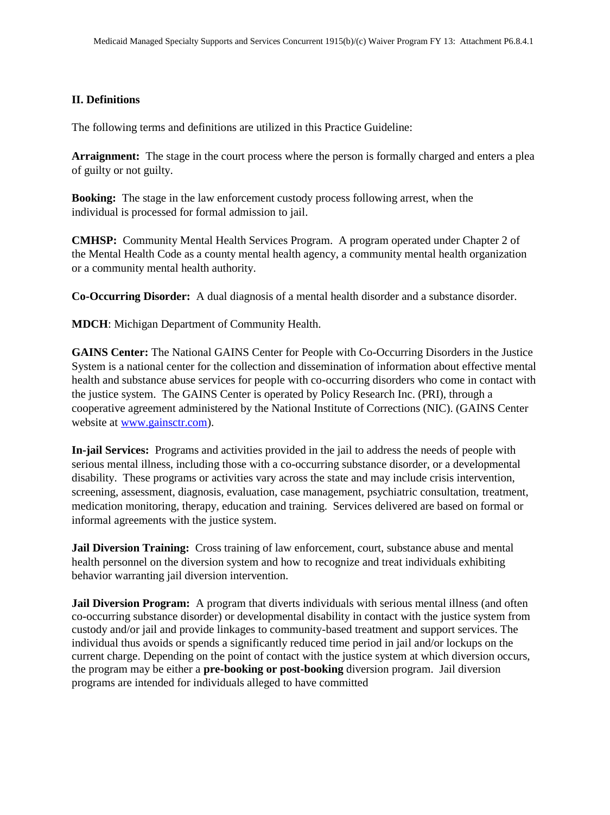#### **II. Definitions**

The following terms and definitions are utilized in this Practice Guideline:

**Arraignment:** The stage in the court process where the person is formally charged and enters a plea of guilty or not guilty.

**Booking:** The stage in the law enforcement custody process following arrest, when the individual is processed for formal admission to jail.

**CMHSP:** Community Mental Health Services Program. A program operated under Chapter 2 of the Mental Health Code as a county mental health agency, a community mental health organization or a community mental health authority.

**Co-Occurring Disorder:** A dual diagnosis of a mental health disorder and a substance disorder.

**MDCH**: Michigan Department of Community Health.

**GAINS Center:** The National GAINS Center for People with Co-Occurring Disorders in the Justice System is a national center for the collection and dissemination of information about effective mental health and substance abuse services for people with co-occurring disorders who come in contact with the justice system. The GAINS Center is operated by Policy Research Inc. (PRI), through a cooperative agreement administered by the National Institute of Corrections (NIC). (GAINS Center website at www.gainsctr.com).

**In-jail Services:** Programs and activities provided in the jail to address the needs of people with serious mental illness, including those with a co-occurring substance disorder, or a developmental disability. These programs or activities vary across the state and may include crisis intervention, screening, assessment, diagnosis, evaluation, case management, psychiatric consultation, treatment, medication monitoring, therapy, education and training. Services delivered are based on formal or informal agreements with the justice system.

**Jail Diversion Training:** Cross training of law enforcement, court, substance abuse and mental health personnel on the diversion system and how to recognize and treat individuals exhibiting behavior warranting jail diversion intervention.

**Jail Diversion Program:** A program that diverts individuals with serious mental illness (and often co-occurring substance disorder) or developmental disability in contact with the justice system from custody and/or jail and provide linkages to community-based treatment and support services. The individual thus avoids or spends a significantly reduced time period in jail and/or lockups on the current charge. Depending on the point of contact with the justice system at which diversion occurs, the program may be either a **pre-booking or post-booking** diversion program. Jail diversion programs are intended for individuals alleged to have committed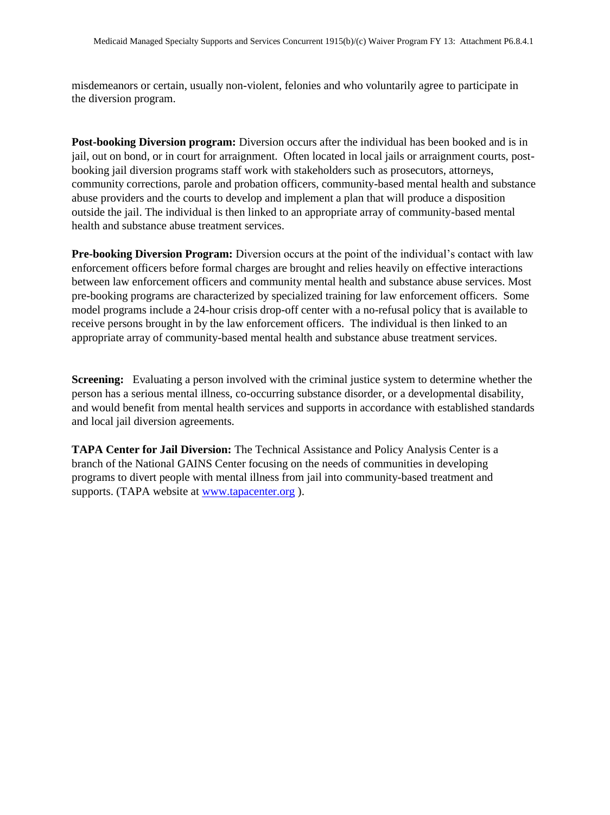misdemeanors or certain, usually non-violent, felonies and who voluntarily agree to participate in the diversion program.

**Post-booking Diversion program:** Diversion occurs after the individual has been booked and is in jail, out on bond, or in court for arraignment. Often located in local jails or arraignment courts, postbooking jail diversion programs staff work with stakeholders such as prosecutors, attorneys, community corrections, parole and probation officers, community-based mental health and substance abuse providers and the courts to develop and implement a plan that will produce a disposition outside the jail. The individual is then linked to an appropriate array of community-based mental health and substance abuse treatment services.

**Pre-booking Diversion Program:** Diversion occurs at the point of the individual's contact with law enforcement officers before formal charges are brought and relies heavily on effective interactions between law enforcement officers and community mental health and substance abuse services. Most pre-booking programs are characterized by specialized training for law enforcement officers. Some model programs include a 24-hour crisis drop-off center with a no-refusal policy that is available to receive persons brought in by the law enforcement officers. The individual is then linked to an appropriate array of community-based mental health and substance abuse treatment services.

**Screening:** Evaluating a person involved with the criminal justice system to determine whether the person has a serious mental illness, co-occurring substance disorder, or a developmental disability, and would benefit from mental health services and supports in accordance with established standards and local jail diversion agreements.

**TAPA Center for Jail Diversion:** The Technical Assistance and Policy Analysis Center is a branch of the National GAINS Center focusing on the needs of communities in developing programs to divert people with mental illness from jail into community-based treatment and supports. (TAPA website at www.tapacenter.org ).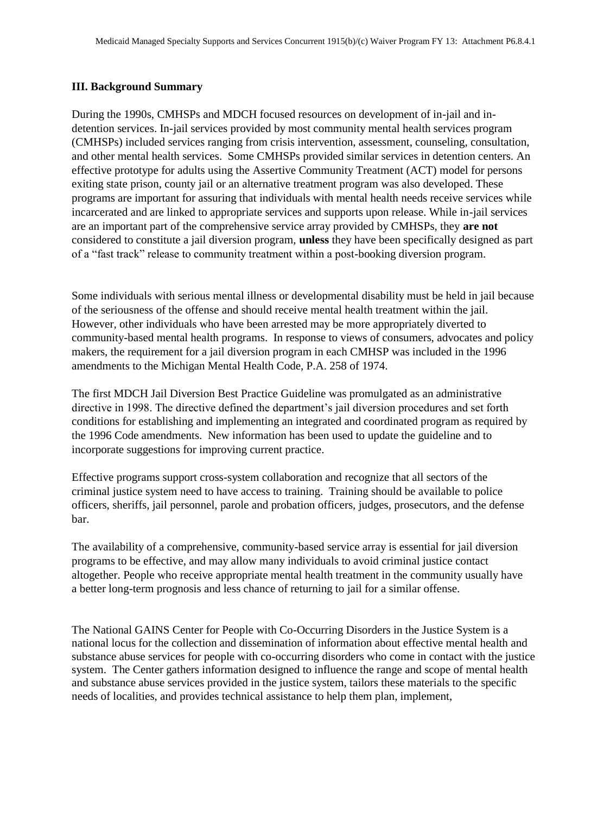#### **III. Background Summary**

During the 1990s, CMHSPs and MDCH focused resources on development of in-jail and indetention services. In-jail services provided by most community mental health services program (CMHSPs) included services ranging from crisis intervention, assessment, counseling, consultation, and other mental health services. Some CMHSPs provided similar services in detention centers. An effective prototype for adults using the Assertive Community Treatment (ACT) model for persons exiting state prison, county jail or an alternative treatment program was also developed. These programs are important for assuring that individuals with mental health needs receive services while incarcerated and are linked to appropriate services and supports upon release. While in-jail services are an important part of the comprehensive service array provided by CMHSPs, they **are not** considered to constitute a jail diversion program, **unless** they have been specifically designed as part of a "fast track" release to community treatment within a post-booking diversion program.

Some individuals with serious mental illness or developmental disability must be held in jail because of the seriousness of the offense and should receive mental health treatment within the jail. However, other individuals who have been arrested may be more appropriately diverted to community-based mental health programs. In response to views of consumers, advocates and policy makers, the requirement for a jail diversion program in each CMHSP was included in the 1996 amendments to the Michigan Mental Health Code, P.A. 258 of 1974.

The first MDCH Jail Diversion Best Practice Guideline was promulgated as an administrative directive in 1998. The directive defined the department's jail diversion procedures and set forth conditions for establishing and implementing an integrated and coordinated program as required by the 1996 Code amendments. New information has been used to update the guideline and to incorporate suggestions for improving current practice.

Effective programs support cross-system collaboration and recognize that all sectors of the criminal justice system need to have access to training. Training should be available to police officers, sheriffs, jail personnel, parole and probation officers, judges, prosecutors, and the defense bar.

The availability of a comprehensive, community-based service array is essential for jail diversion programs to be effective, and may allow many individuals to avoid criminal justice contact altogether. People who receive appropriate mental health treatment in the community usually have a better long-term prognosis and less chance of returning to jail for a similar offense.

The National GAINS Center for People with Co-Occurring Disorders in the Justice System is a national locus for the collection and dissemination of information about effective mental health and substance abuse services for people with co-occurring disorders who come in contact with the justice system. The Center gathers information designed to influence the range and scope of mental health and substance abuse services provided in the justice system, tailors these materials to the specific needs of localities, and provides technical assistance to help them plan, implement,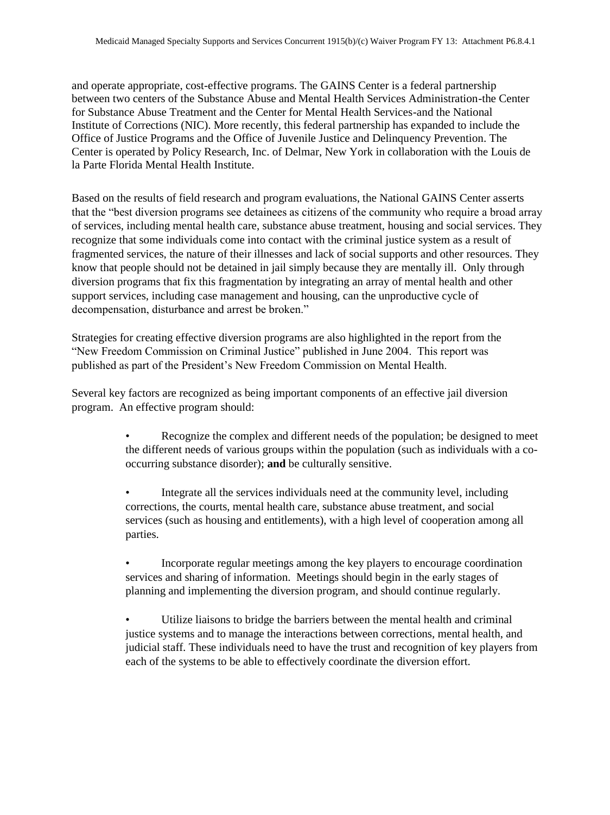and operate appropriate, cost-effective programs. The GAINS Center is a federal partnership between two centers of the Substance Abuse and Mental Health Services Administration-the Center for Substance Abuse Treatment and the Center for Mental Health Services-and the National Institute of Corrections (NIC). More recently, this federal partnership has expanded to include the Office of Justice Programs and the Office of Juvenile Justice and Delinquency Prevention. The Center is operated by Policy Research, Inc. of Delmar, New York in collaboration with the Louis de la Parte Florida Mental Health Institute.

Based on the results of field research and program evaluations, the National GAINS Center asserts that the "best diversion programs see detainees as citizens of the community who require a broad array of services, including mental health care, substance abuse treatment, housing and social services. They recognize that some individuals come into contact with the criminal justice system as a result of fragmented services, the nature of their illnesses and lack of social supports and other resources. They know that people should not be detained in jail simply because they are mentally ill. Only through diversion programs that fix this fragmentation by integrating an array of mental health and other support services, including case management and housing, can the unproductive cycle of decompensation, disturbance and arrest be broken."

Strategies for creating effective diversion programs are also highlighted in the report from the "New Freedom Commission on Criminal Justice" published in June 2004. This report was published as part of the President's New Freedom Commission on Mental Health.

Several key factors are recognized as being important components of an effective jail diversion program. An effective program should:

- Recognize the complex and different needs of the population; be designed to meet the different needs of various groups within the population (such as individuals with a cooccurring substance disorder); **and** be culturally sensitive.
- Integrate all the services individuals need at the community level, including corrections, the courts, mental health care, substance abuse treatment, and social services (such as housing and entitlements), with a high level of cooperation among all parties.
- Incorporate regular meetings among the key players to encourage coordination services and sharing of information. Meetings should begin in the early stages of planning and implementing the diversion program, and should continue regularly.
- Utilize liaisons to bridge the barriers between the mental health and criminal justice systems and to manage the interactions between corrections, mental health, and judicial staff. These individuals need to have the trust and recognition of key players from each of the systems to be able to effectively coordinate the diversion effort.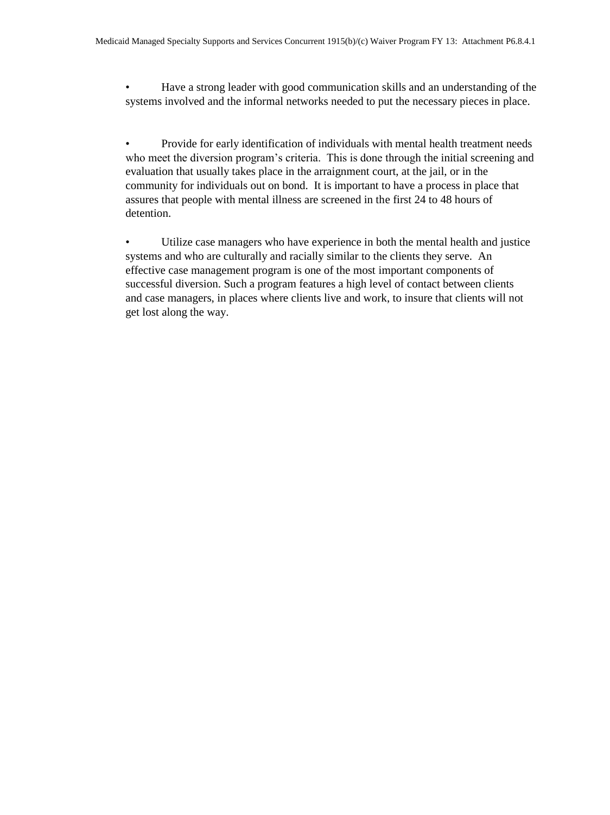• Have a strong leader with good communication skills and an understanding of the systems involved and the informal networks needed to put the necessary pieces in place.

• Provide for early identification of individuals with mental health treatment needs who meet the diversion program's criteria. This is done through the initial screening and evaluation that usually takes place in the arraignment court, at the jail, or in the community for individuals out on bond. It is important to have a process in place that assures that people with mental illness are screened in the first 24 to 48 hours of detention.

• Utilize case managers who have experience in both the mental health and justice systems and who are culturally and racially similar to the clients they serve. An effective case management program is one of the most important components of successful diversion. Such a program features a high level of contact between clients and case managers, in places where clients live and work, to insure that clients will not get lost along the way.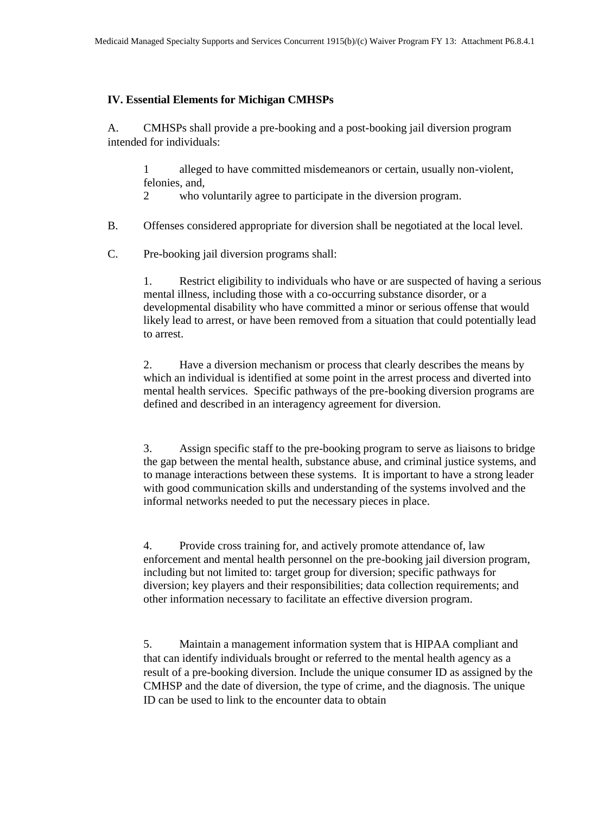#### **IV. Essential Elements for Michigan CMHSPs**

A. CMHSPs shall provide a pre-booking and a post-booking jail diversion program intended for individuals:

1 alleged to have committed misdemeanors or certain, usually non-violent, felonies, and,

2 who voluntarily agree to participate in the diversion program.

B. Offenses considered appropriate for diversion shall be negotiated at the local level.

C. Pre-booking jail diversion programs shall:

1. Restrict eligibility to individuals who have or are suspected of having a serious mental illness, including those with a co-occurring substance disorder, or a developmental disability who have committed a minor or serious offense that would likely lead to arrest, or have been removed from a situation that could potentially lead to arrest.

2. Have a diversion mechanism or process that clearly describes the means by which an individual is identified at some point in the arrest process and diverted into mental health services. Specific pathways of the pre-booking diversion programs are defined and described in an interagency agreement for diversion.

3. Assign specific staff to the pre-booking program to serve as liaisons to bridge the gap between the mental health, substance abuse, and criminal justice systems, and to manage interactions between these systems. It is important to have a strong leader with good communication skills and understanding of the systems involved and the informal networks needed to put the necessary pieces in place.

4. Provide cross training for, and actively promote attendance of, law enforcement and mental health personnel on the pre-booking jail diversion program, including but not limited to: target group for diversion; specific pathways for diversion; key players and their responsibilities; data collection requirements; and other information necessary to facilitate an effective diversion program.

5. Maintain a management information system that is HIPAA compliant and that can identify individuals brought or referred to the mental health agency as a result of a pre-booking diversion. Include the unique consumer ID as assigned by the CMHSP and the date of diversion, the type of crime, and the diagnosis. The unique ID can be used to link to the encounter data to obtain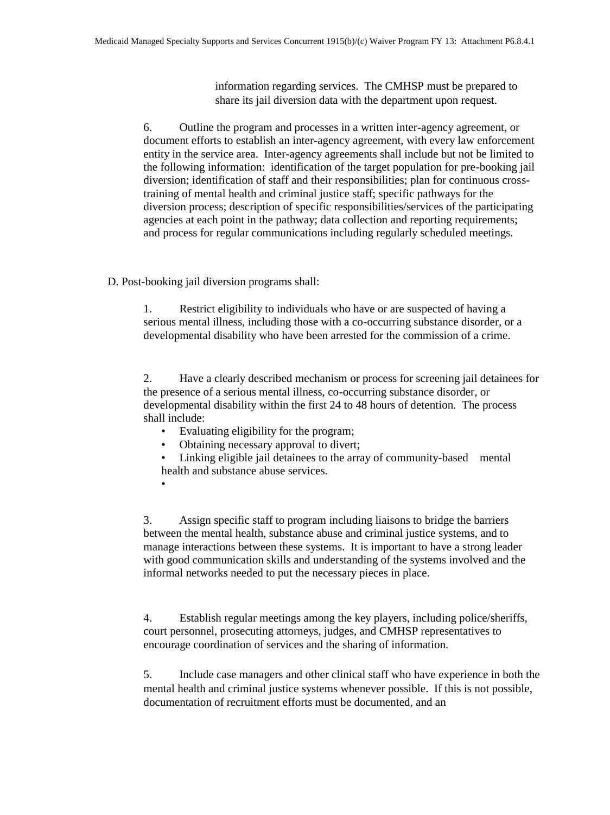information regarding services. The CMHSP must be prepared to share its jail diversion data with the department upon request.

6. Outline the program and processes in a written inter-agency agreement, or document efforts to establish an inter-agency agreement, with every law enforcement entity in the service area. Inter-agency agreements shall include but not be limited to the following information: identification of the target population for pre-booking jail diversion; identification of staff and their responsibilities; plan for continuous crosstraining of mental health and criminal justice staff; specific pathways for the diversion process; description of specific responsibilities/services of the participating agencies at each point in the pathway; data collection and reporting requirements; and process for regular communications including regularly scheduled meetings.

D. Post-booking jail diversion programs shall:

1. Restrict eligibility to individuals who have or are suspected of having a serious mental illness, including those with a co-occurring substance disorder, or a developmental disability who have been arrested for the commission of a crime.

2. Have a clearly described mechanism or process for screening jail detainees for the presence of a serious mental illness, co-occurring substance disorder, or developmental disability within the first 24 to 48 hours of detention. The process shall include:

- Evaluating eligibility for the program;
- Obtaining necessary approval to divert;
- Linking eligible jail detainees to the array of community-based mental health and substance abuse services.
- •

3. Assign specific staff to program including liaisons to bridge the barriers between the mental health, substance abuse and criminal justice systems, and to manage interactions between these systems. It is important to have a strong leader with good communication skills and understanding of the systems involved and the informal networks needed to put the necessary pieces in place.

4. Establish regular meetings among the key players, including police/sheriffs, court personnel, prosecuting attorneys, judges, and CMHSP representatives to encourage coordination of services and the sharing of information.

5. Include case managers and other clinical staff who have experience in both the mental health and criminal justice systems whenever possible. If this is not possible, documentation of recruitment efforts must be documented, and an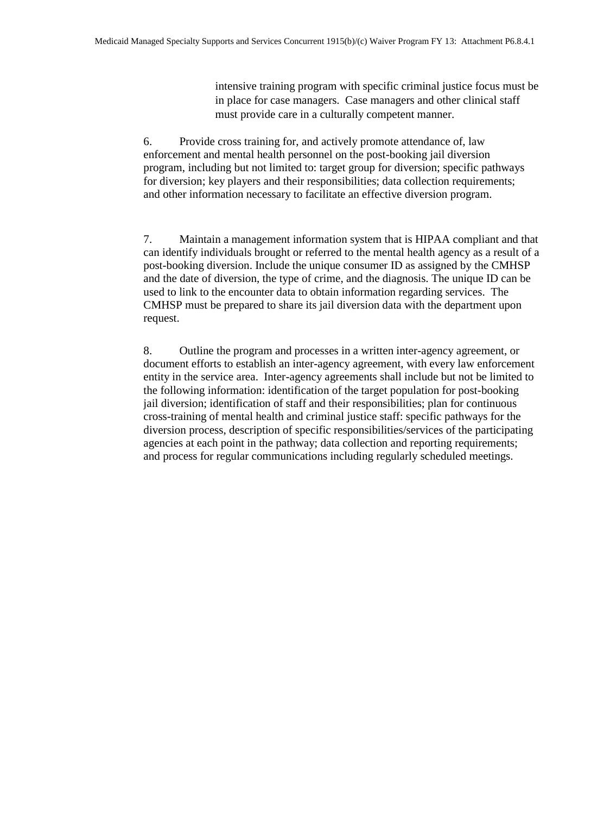intensive training program with specific criminal justice focus must be in place for case managers. Case managers and other clinical staff must provide care in a culturally competent manner.

6. Provide cross training for, and actively promote attendance of, law enforcement and mental health personnel on the post-booking jail diversion program, including but not limited to: target group for diversion; specific pathways for diversion; key players and their responsibilities; data collection requirements; and other information necessary to facilitate an effective diversion program.

7. Maintain a management information system that is HIPAA compliant and that can identify individuals brought or referred to the mental health agency as a result of a post-booking diversion. Include the unique consumer ID as assigned by the CMHSP and the date of diversion, the type of crime, and the diagnosis. The unique ID can be used to link to the encounter data to obtain information regarding services. The CMHSP must be prepared to share its jail diversion data with the department upon request.

8. Outline the program and processes in a written inter-agency agreement, or document efforts to establish an inter-agency agreement, with every law enforcement entity in the service area. Inter-agency agreements shall include but not be limited to the following information: identification of the target population for post-booking jail diversion; identification of staff and their responsibilities; plan for continuous cross-training of mental health and criminal justice staff: specific pathways for the diversion process, description of specific responsibilities/services of the participating agencies at each point in the pathway; data collection and reporting requirements; and process for regular communications including regularly scheduled meetings.